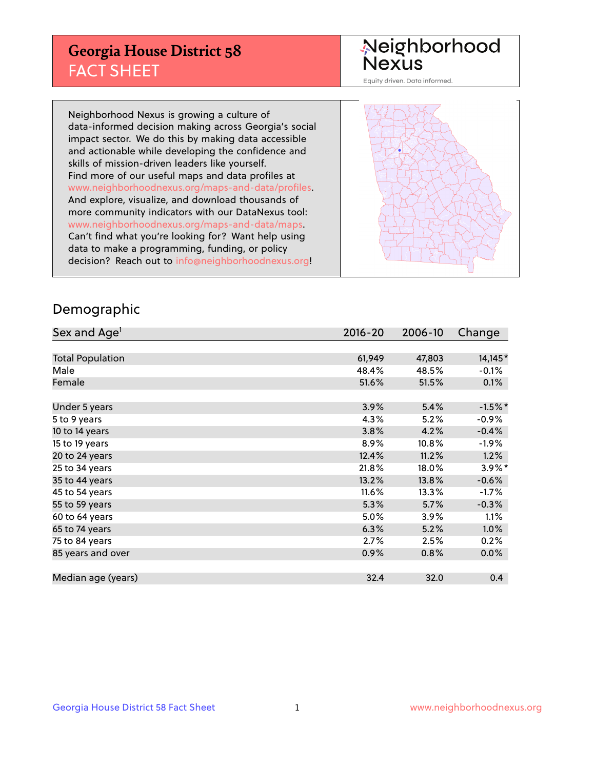## **Georgia House District 58** FACT SHEET

# Neighborhood<br>Nexus

Equity driven. Data informed.

Neighborhood Nexus is growing a culture of data-informed decision making across Georgia's social impact sector. We do this by making data accessible and actionable while developing the confidence and skills of mission-driven leaders like yourself. Find more of our useful maps and data profiles at www.neighborhoodnexus.org/maps-and-data/profiles. And explore, visualize, and download thousands of more community indicators with our DataNexus tool: www.neighborhoodnexus.org/maps-and-data/maps. Can't find what you're looking for? Want help using data to make a programming, funding, or policy decision? Reach out to [info@neighborhoodnexus.org!](mailto:info@neighborhoodnexus.org)



### Demographic

| Sex and Age <sup>1</sup> | $2016 - 20$ | 2006-10 | Change    |
|--------------------------|-------------|---------|-----------|
|                          |             |         |           |
| <b>Total Population</b>  | 61,949      | 47,803  | 14,145*   |
| Male                     | 48.4%       | 48.5%   | $-0.1\%$  |
| Female                   | 51.6%       | 51.5%   | 0.1%      |
|                          |             |         |           |
| Under 5 years            | 3.9%        | 5.4%    | $-1.5%$ * |
| 5 to 9 years             | 4.3%        | 5.2%    | $-0.9%$   |
| 10 to 14 years           | 3.8%        | 4.2%    | $-0.4%$   |
| 15 to 19 years           | 8.9%        | 10.8%   | $-1.9%$   |
| 20 to 24 years           | 12.4%       | 11.2%   | 1.2%      |
| 25 to 34 years           | 21.8%       | 18.0%   | $3.9\%$ * |
| 35 to 44 years           | 13.2%       | 13.8%   | $-0.6%$   |
| 45 to 54 years           | 11.6%       | 13.3%   | $-1.7%$   |
| 55 to 59 years           | 5.3%        | 5.7%    | $-0.3%$   |
| 60 to 64 years           | 5.0%        | 3.9%    | $1.1\%$   |
| 65 to 74 years           | 6.3%        | 5.2%    | $1.0\%$   |
| 75 to 84 years           | 2.7%        | 2.5%    | 0.2%      |
| 85 years and over        | 0.9%        | 0.8%    | 0.0%      |
|                          |             |         |           |
| Median age (years)       | 32.4        | 32.0    | 0.4       |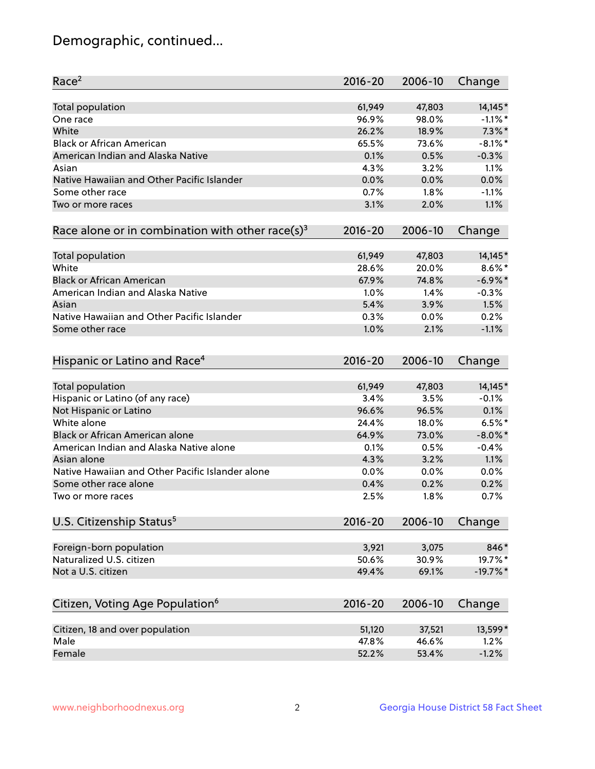## Demographic, continued...

| Race <sup>2</sup>                                            | $2016 - 20$ | 2006-10 | Change     |
|--------------------------------------------------------------|-------------|---------|------------|
| <b>Total population</b>                                      | 61,949      | 47,803  | 14,145*    |
| One race                                                     | 96.9%       | 98.0%   | $-1.1\%$ * |
| White                                                        | 26.2%       | 18.9%   | $7.3\%$ *  |
| <b>Black or African American</b>                             | 65.5%       | 73.6%   | $-8.1\%$ * |
| American Indian and Alaska Native                            | 0.1%        | 0.5%    | $-0.3%$    |
| Asian                                                        | 4.3%        | 3.2%    | 1.1%       |
| Native Hawaiian and Other Pacific Islander                   | 0.0%        | 0.0%    | 0.0%       |
| Some other race                                              | 0.7%        | 1.8%    | $-1.1%$    |
| Two or more races                                            | 3.1%        | 2.0%    | 1.1%       |
| Race alone or in combination with other race(s) <sup>3</sup> | $2016 - 20$ | 2006-10 | Change     |
|                                                              |             |         |            |
| Total population                                             | 61,949      | 47,803  | 14,145*    |
| White                                                        | 28.6%       | 20.0%   | $8.6\%$ *  |
| <b>Black or African American</b>                             | 67.9%       | 74.8%   | $-6.9\%$ * |
| American Indian and Alaska Native                            | 1.0%        | 1.4%    | $-0.3%$    |
| Asian                                                        | 5.4%        | 3.9%    | 1.5%       |
| Native Hawaiian and Other Pacific Islander                   | 0.3%        | 0.0%    | 0.2%       |
| Some other race                                              | 1.0%        | 2.1%    | $-1.1%$    |
| Hispanic or Latino and Race <sup>4</sup>                     | $2016 - 20$ | 2006-10 | Change     |
| Total population                                             | 61,949      | 47,803  | 14,145*    |
| Hispanic or Latino (of any race)                             | 3.4%        | 3.5%    | $-0.1%$    |
| Not Hispanic or Latino                                       | 96.6%       | 96.5%   | 0.1%       |
| White alone                                                  | 24.4%       | 18.0%   | $6.5%$ *   |
| Black or African American alone                              | 64.9%       | 73.0%   | $-8.0\%$ * |
| American Indian and Alaska Native alone                      | 0.1%        | 0.5%    | $-0.4%$    |
| Asian alone                                                  | 4.3%        | 3.2%    | 1.1%       |
| Native Hawaiian and Other Pacific Islander alone             | $0.0\%$     | 0.0%    | 0.0%       |
| Some other race alone                                        | 0.4%        | 0.2%    | 0.2%       |
| Two or more races                                            | 2.5%        | 1.8%    | 0.7%       |
|                                                              |             |         |            |
| U.S. Citizenship Status <sup>5</sup>                         | $2016 - 20$ | 2006-10 | Change     |
| Foreign-born population                                      | 3,921       | 3,075   | 846*       |
| Naturalized U.S. citizen                                     | 50.6%       | 30.9%   | 19.7%*     |
| Not a U.S. citizen                                           | 49.4%       | 69.1%   | $-19.7%$ * |
|                                                              |             |         |            |
| Citizen, Voting Age Population <sup>6</sup>                  | 2016-20     | 2006-10 | Change     |
| Citizen, 18 and over population                              | 51,120      | 37,521  | 13,599*    |
| Male                                                         | 47.8%       | 46.6%   | 1.2%       |
| Female                                                       | 52.2%       | 53.4%   | $-1.2%$    |
|                                                              |             |         |            |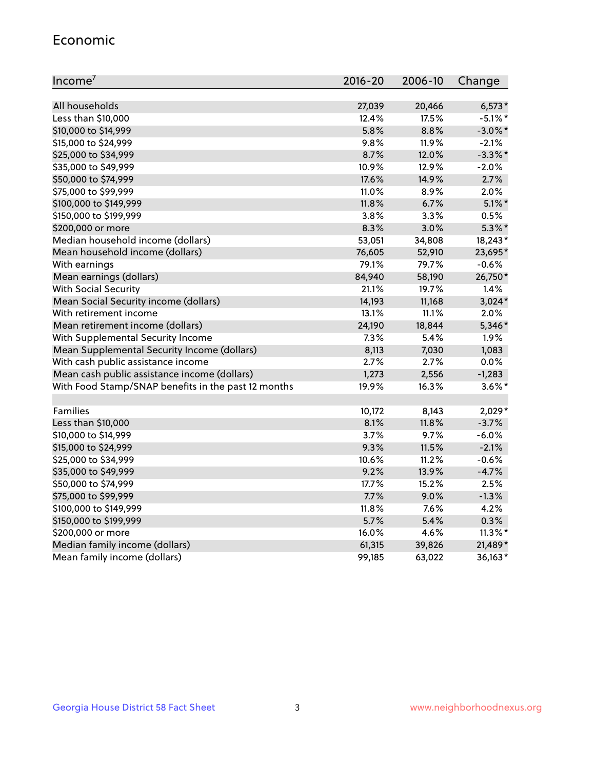#### Economic

| Income <sup>7</sup>                                 | $2016 - 20$ | 2006-10 | Change     |
|-----------------------------------------------------|-------------|---------|------------|
|                                                     |             |         |            |
| All households                                      | 27,039      | 20,466  | $6,573*$   |
| Less than \$10,000                                  | 12.4%       | 17.5%   | $-5.1\%$ * |
| \$10,000 to \$14,999                                | 5.8%        | 8.8%    | $-3.0\%$ * |
| \$15,000 to \$24,999                                | 9.8%        | 11.9%   | $-2.1%$    |
| \$25,000 to \$34,999                                | 8.7%        | 12.0%   | $-3.3\%$ * |
| \$35,000 to \$49,999                                | 10.9%       | 12.9%   | $-2.0%$    |
| \$50,000 to \$74,999                                | 17.6%       | 14.9%   | 2.7%       |
| \$75,000 to \$99,999                                | 11.0%       | 8.9%    | 2.0%       |
| \$100,000 to \$149,999                              | 11.8%       | 6.7%    | $5.1\%$ *  |
| \$150,000 to \$199,999                              | 3.8%        | 3.3%    | 0.5%       |
| \$200,000 or more                                   | 8.3%        | 3.0%    | $5.3\%$ *  |
| Median household income (dollars)                   | 53,051      | 34,808  | 18,243*    |
| Mean household income (dollars)                     | 76,605      | 52,910  | 23,695*    |
| With earnings                                       | 79.1%       | 79.7%   | $-0.6%$    |
| Mean earnings (dollars)                             | 84,940      | 58,190  | 26,750*    |
| <b>With Social Security</b>                         | 21.1%       | 19.7%   | 1.4%       |
| Mean Social Security income (dollars)               | 14,193      | 11,168  | $3,024*$   |
| With retirement income                              | 13.1%       | 11.1%   | 2.0%       |
| Mean retirement income (dollars)                    | 24,190      | 18,844  | 5,346*     |
| With Supplemental Security Income                   | 7.3%        | 5.4%    | 1.9%       |
| Mean Supplemental Security Income (dollars)         | 8,113       | 7,030   | 1,083      |
| With cash public assistance income                  | 2.7%        | 2.7%    | 0.0%       |
| Mean cash public assistance income (dollars)        | 1,273       | 2,556   | $-1,283$   |
| With Food Stamp/SNAP benefits in the past 12 months | 19.9%       | 16.3%   | $3.6\%$ *  |
|                                                     |             |         |            |
| Families                                            | 10,172      | 8,143   | 2,029*     |
| Less than \$10,000                                  | 8.1%        | 11.8%   | $-3.7%$    |
| \$10,000 to \$14,999                                | 3.7%        | 9.7%    | $-6.0%$    |
| \$15,000 to \$24,999                                | 9.3%        | 11.5%   | $-2.1%$    |
| \$25,000 to \$34,999                                | 10.6%       | 11.2%   | $-0.6%$    |
| \$35,000 to \$49,999                                | 9.2%        | 13.9%   | $-4.7%$    |
| \$50,000 to \$74,999                                | 17.7%       | 15.2%   | 2.5%       |
| \$75,000 to \$99,999                                | 7.7%        | 9.0%    | $-1.3%$    |
| \$100,000 to \$149,999                              | 11.8%       | 7.6%    | 4.2%       |
| \$150,000 to \$199,999                              | 5.7%        | 5.4%    | 0.3%       |
| \$200,000 or more                                   | 16.0%       | 4.6%    | $11.3\%$ * |
| Median family income (dollars)                      | 61,315      | 39,826  | 21,489*    |
| Mean family income (dollars)                        | 99,185      | 63,022  | 36,163*    |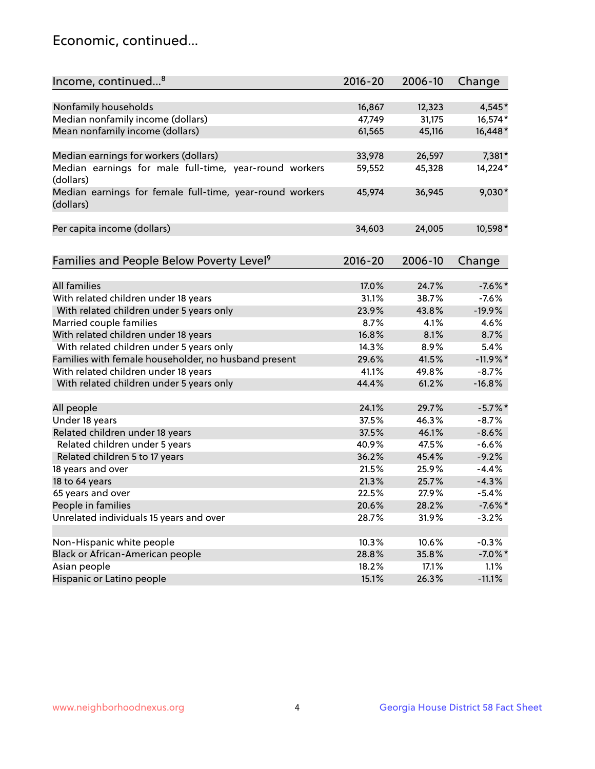## Economic, continued...

| Income, continued <sup>8</sup>                                        | $2016 - 20$ | 2006-10 | Change     |
|-----------------------------------------------------------------------|-------------|---------|------------|
|                                                                       |             |         |            |
| Nonfamily households                                                  | 16,867      | 12,323  | 4,545*     |
| Median nonfamily income (dollars)                                     | 47,749      | 31,175  | 16,574*    |
| Mean nonfamily income (dollars)                                       | 61,565      | 45,116  | 16,448*    |
| Median earnings for workers (dollars)                                 | 33,978      | 26,597  | 7,381*     |
| Median earnings for male full-time, year-round workers<br>(dollars)   | 59,552      | 45,328  | 14,224*    |
| Median earnings for female full-time, year-round workers<br>(dollars) | 45,974      | 36,945  | $9,030*$   |
| Per capita income (dollars)                                           | 34,603      | 24,005  | 10,598*    |
| Families and People Below Poverty Level <sup>9</sup>                  | $2016 - 20$ | 2006-10 | Change     |
|                                                                       |             |         |            |
| <b>All families</b>                                                   | 17.0%       | 24.7%   | $-7.6%$ *  |
| With related children under 18 years                                  | 31.1%       | 38.7%   | $-7.6%$    |
| With related children under 5 years only                              | 23.9%       | 43.8%   | $-19.9%$   |
| Married couple families                                               | 8.7%        | 4.1%    | 4.6%       |
| With related children under 18 years                                  | 16.8%       | 8.1%    | 8.7%       |
| With related children under 5 years only                              | 14.3%       | 8.9%    | 5.4%       |
| Families with female householder, no husband present                  | 29.6%       | 41.5%   | $-11.9%$   |
| With related children under 18 years                                  | 41.1%       | 49.8%   | $-8.7\%$   |
| With related children under 5 years only                              | 44.4%       | 61.2%   | $-16.8%$   |
|                                                                       |             |         |            |
| All people                                                            | 24.1%       | 29.7%   | $-5.7\%$ * |
| Under 18 years                                                        | 37.5%       | 46.3%   | $-8.7%$    |
| Related children under 18 years                                       | 37.5%       | 46.1%   | $-8.6%$    |
| Related children under 5 years                                        | 40.9%       | 47.5%   | $-6.6%$    |
| Related children 5 to 17 years                                        | 36.2%       | 45.4%   | $-9.2%$    |
| 18 years and over                                                     | 21.5%       | 25.9%   | $-4.4%$    |
| 18 to 64 years                                                        | 21.3%       | 25.7%   | $-4.3%$    |
| 65 years and over                                                     | 22.5%       | 27.9%   | $-5.4%$    |
| People in families                                                    | 20.6%       | 28.2%   | $-7.6%$ *  |
| Unrelated individuals 15 years and over                               | 28.7%       | 31.9%   | $-3.2%$    |
|                                                                       |             |         |            |
| Non-Hispanic white people                                             | 10.3%       | 10.6%   | $-0.3%$    |
| Black or African-American people                                      | 28.8%       | 35.8%   | $-7.0\%$ * |
| Asian people                                                          | 18.2%       | 17.1%   | 1.1%       |
| Hispanic or Latino people                                             | 15.1%       | 26.3%   | $-11.1%$   |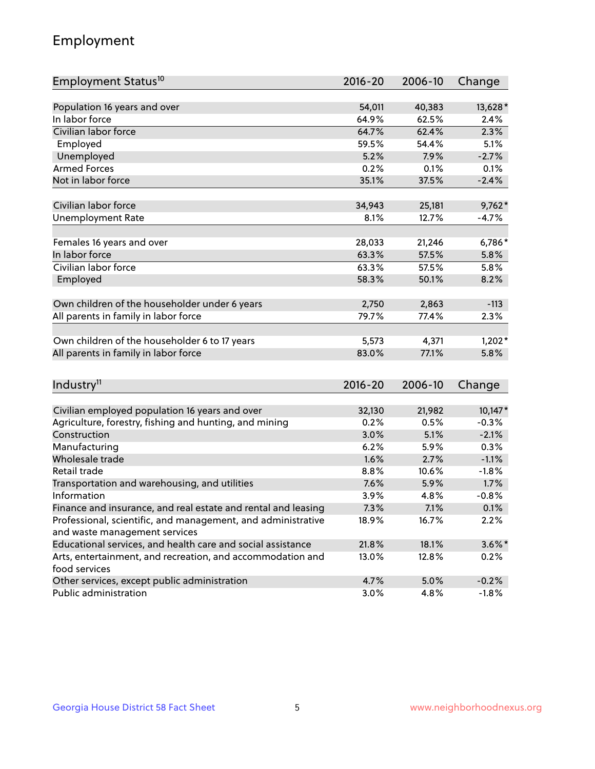## Employment

| Employment Status <sup>10</sup>                               | $2016 - 20$ | 2006-10 | Change    |
|---------------------------------------------------------------|-------------|---------|-----------|
|                                                               |             |         |           |
| Population 16 years and over                                  | 54,011      | 40,383  | 13,628*   |
| In labor force                                                | 64.9%       | 62.5%   | 2.4%      |
| Civilian labor force                                          | 64.7%       | 62.4%   | 2.3%      |
| Employed                                                      | 59.5%       | 54.4%   | 5.1%      |
| Unemployed                                                    | 5.2%        | 7.9%    | $-2.7%$   |
| <b>Armed Forces</b>                                           | 0.2%        | 0.1%    | 0.1%      |
| Not in labor force                                            | 35.1%       | 37.5%   | $-2.4%$   |
|                                                               |             |         |           |
| Civilian labor force                                          | 34,943      | 25,181  | $9,762*$  |
| <b>Unemployment Rate</b>                                      | 8.1%        | 12.7%   | $-4.7%$   |
| Females 16 years and over                                     | 28,033      | 21,246  | $6,786*$  |
| In labor force                                                | 63.3%       | 57.5%   | 5.8%      |
| Civilian labor force                                          | 63.3%       | 57.5%   | 5.8%      |
| Employed                                                      | 58.3%       | 50.1%   | 8.2%      |
|                                                               |             |         |           |
| Own children of the householder under 6 years                 | 2,750       | 2,863   | $-113$    |
| All parents in family in labor force                          | 79.7%       | 77.4%   | 2.3%      |
|                                                               |             |         |           |
| Own children of the householder 6 to 17 years                 | 5,573       | 4,371   | $1,202*$  |
| All parents in family in labor force                          | 83.0%       | 77.1%   | 5.8%      |
|                                                               |             |         |           |
| Industry <sup>11</sup>                                        | $2016 - 20$ | 2006-10 | Change    |
| Civilian employed population 16 years and over                | 32,130      | 21,982  | $10,147*$ |
| Agriculture, forestry, fishing and hunting, and mining        | 0.2%        | 0.5%    | $-0.3%$   |
| Construction                                                  | 3.0%        | 5.1%    | $-2.1%$   |
| Manufacturing                                                 | 6.2%        | 5.9%    | 0.3%      |
| Wholesale trade                                               | 1.6%        | 2.7%    | $-1.1%$   |
| Retail trade                                                  | 8.8%        | 10.6%   | $-1.8%$   |
| Transportation and warehousing, and utilities                 | 7.6%        | 5.9%    | 1.7%      |
| Information                                                   | 3.9%        | 4.8%    | $-0.8%$   |
| Finance and insurance, and real estate and rental and leasing | 7.3%        | 7.1%    | 0.1%      |
| Professional, scientific, and management, and administrative  | 18.9%       | 16.7%   | 2.2%      |
| and waste management services                                 |             |         |           |
| Educational services, and health care and social assistance   | 21.8%       | 18.1%   | $3.6\%$ * |
| Arts, entertainment, and recreation, and accommodation and    | 13.0%       | 12.8%   | 0.2%      |
| food services                                                 |             |         |           |
| Other services, except public administration                  | 4.7%        | 5.0%    | $-0.2%$   |
| Public administration                                         | 3.0%        | 4.8%    | $-1.8%$   |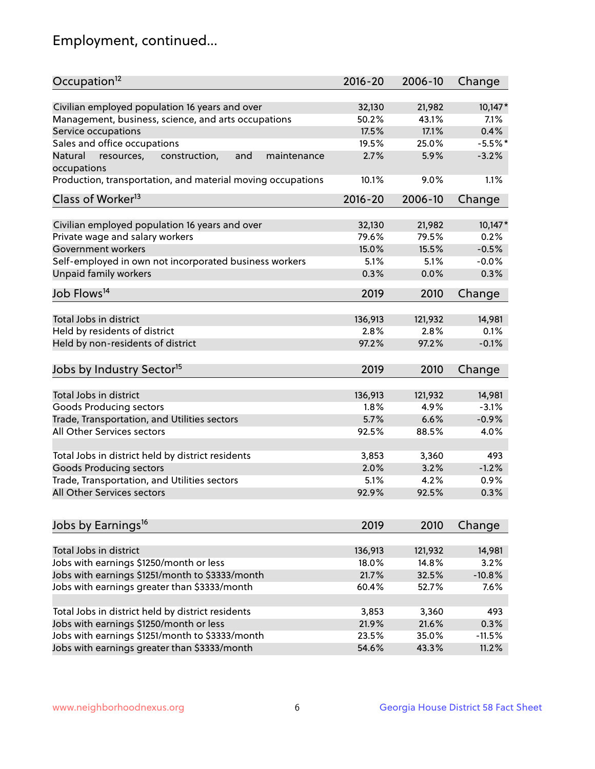## Employment, continued...

| Occupation <sup>12</sup>                                                    | $2016 - 20$ | 2006-10 | Change    |
|-----------------------------------------------------------------------------|-------------|---------|-----------|
| Civilian employed population 16 years and over                              | 32,130      | 21,982  | 10,147*   |
| Management, business, science, and arts occupations                         | 50.2%       | 43.1%   | 7.1%      |
| Service occupations                                                         | 17.5%       | 17.1%   | 0.4%      |
| Sales and office occupations                                                | 19.5%       | 25.0%   | $-5.5%$ * |
|                                                                             |             |         |           |
| and<br>Natural<br>resources,<br>construction,<br>maintenance<br>occupations | 2.7%        | 5.9%    | $-3.2%$   |
| Production, transportation, and material moving occupations                 | 10.1%       | 9.0%    | 1.1%      |
| Class of Worker <sup>13</sup>                                               | $2016 - 20$ | 2006-10 | Change    |
|                                                                             | 32,130      | 21,982  | $10,147*$ |
| Civilian employed population 16 years and over                              | 79.6%       | 79.5%   | 0.2%      |
| Private wage and salary workers                                             |             |         |           |
| Government workers                                                          | 15.0%       | 15.5%   | $-0.5%$   |
| Self-employed in own not incorporated business workers                      | 5.1%        | 5.1%    | $-0.0%$   |
| Unpaid family workers                                                       | 0.3%        | 0.0%    | 0.3%      |
| Job Flows <sup>14</sup>                                                     | 2019        | 2010    | Change    |
|                                                                             |             |         |           |
| Total Jobs in district                                                      | 136,913     | 121,932 | 14,981    |
| Held by residents of district                                               | 2.8%        | 2.8%    | 0.1%      |
| Held by non-residents of district                                           | 97.2%       | 97.2%   | $-0.1%$   |
| Jobs by Industry Sector <sup>15</sup>                                       | 2019        | 2010    | Change    |
| Total Jobs in district                                                      | 136,913     | 121,932 | 14,981    |
|                                                                             |             | 4.9%    |           |
| Goods Producing sectors                                                     | 1.8%        |         | $-3.1%$   |
| Trade, Transportation, and Utilities sectors                                | 5.7%        | 6.6%    | $-0.9%$   |
| All Other Services sectors                                                  | 92.5%       | 88.5%   | 4.0%      |
| Total Jobs in district held by district residents                           | 3,853       | 3,360   | 493       |
| <b>Goods Producing sectors</b>                                              | 2.0%        | 3.2%    | $-1.2%$   |
| Trade, Transportation, and Utilities sectors                                | 5.1%        | 4.2%    | 0.9%      |
| All Other Services sectors                                                  | 92.9%       | 92.5%   | 0.3%      |
|                                                                             |             |         |           |
| Jobs by Earnings <sup>16</sup>                                              | 2019        | 2010    | Change    |
|                                                                             |             |         |           |
| Total Jobs in district                                                      | 136,913     | 121,932 | 14,981    |
| Jobs with earnings \$1250/month or less                                     | 18.0%       | 14.8%   | 3.2%      |
| Jobs with earnings \$1251/month to \$3333/month                             | 21.7%       | 32.5%   | $-10.8%$  |
| Jobs with earnings greater than \$3333/month                                | 60.4%       | 52.7%   | 7.6%      |
| Total Jobs in district held by district residents                           | 3,853       | 3,360   | 493       |
| Jobs with earnings \$1250/month or less                                     | 21.9%       | 21.6%   | 0.3%      |
| Jobs with earnings \$1251/month to \$3333/month                             | 23.5%       | 35.0%   | $-11.5%$  |
| Jobs with earnings greater than \$3333/month                                | 54.6%       | 43.3%   | 11.2%     |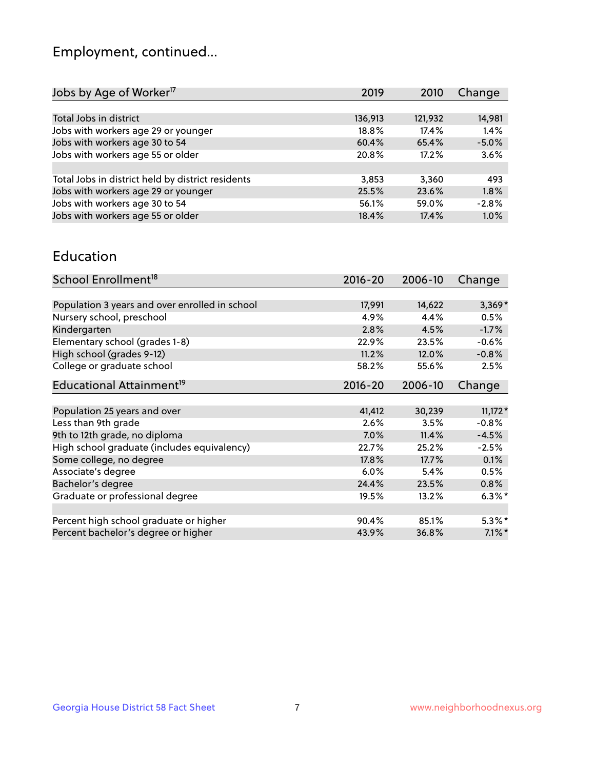## Employment, continued...

| 2019    | 2010    | Change  |
|---------|---------|---------|
|         |         |         |
| 136,913 | 121,932 | 14,981  |
| 18.8%   | 17.4%   | 1.4%    |
| 60.4%   | 65.4%   | $-5.0%$ |
| 20.8%   | 17.2%   | 3.6%    |
|         |         |         |
| 3,853   | 3.360   | 493     |
| 25.5%   | 23.6%   | 1.8%    |
| 56.1%   | 59.0%   | $-2.8%$ |
| 18.4%   | 17.4%   | 1.0%    |
|         |         |         |

#### Education

| School Enrollment <sup>18</sup>                | $2016 - 20$ | 2006-10 | Change    |
|------------------------------------------------|-------------|---------|-----------|
|                                                |             |         |           |
| Population 3 years and over enrolled in school | 17,991      | 14,622  | $3,369*$  |
| Nursery school, preschool                      | 4.9%        | 4.4%    | 0.5%      |
| Kindergarten                                   | 2.8%        | 4.5%    | $-1.7%$   |
| Elementary school (grades 1-8)                 | 22.9%       | 23.5%   | $-0.6%$   |
| High school (grades 9-12)                      | 11.2%       | 12.0%   | $-0.8%$   |
| College or graduate school                     | 58.2%       | 55.6%   | 2.5%      |
| Educational Attainment <sup>19</sup>           | $2016 - 20$ | 2006-10 | Change    |
|                                                |             |         |           |
| Population 25 years and over                   | 41,412      | 30,239  | $11,172*$ |
| Less than 9th grade                            | 2.6%        | 3.5%    | $-0.8%$   |
| 9th to 12th grade, no diploma                  | 7.0%        | 11.4%   | $-4.5%$   |
| High school graduate (includes equivalency)    | 22.7%       | 25.2%   | $-2.5%$   |
| Some college, no degree                        | 17.8%       | 17.7%   | 0.1%      |
| Associate's degree                             | 6.0%        | 5.4%    | 0.5%      |
| Bachelor's degree                              | 24.4%       | 23.5%   | 0.8%      |
| Graduate or professional degree                | 19.5%       | 13.2%   | $6.3\%$ * |
|                                                |             |         |           |
| Percent high school graduate or higher         | 90.4%       | 85.1%   | $5.3\%$ * |
| Percent bachelor's degree or higher            | 43.9%       | 36.8%   | $7.1\%$ * |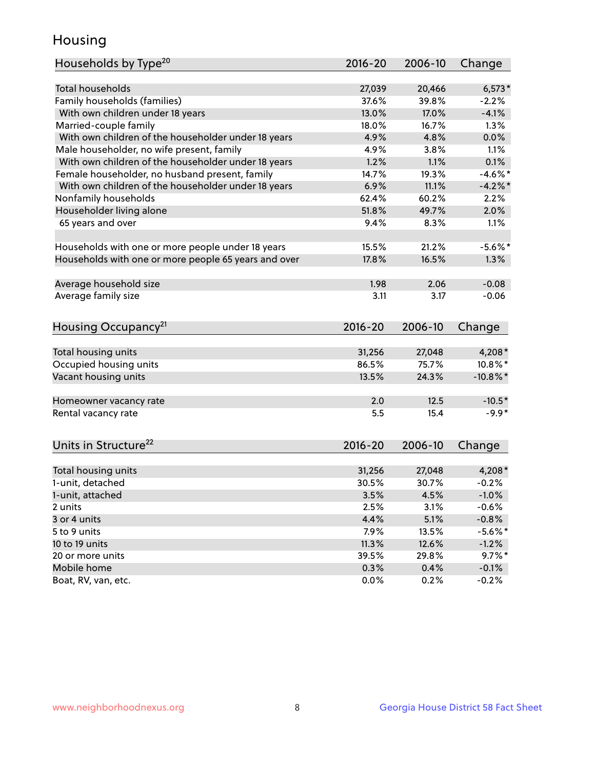## Housing

| Households by Type <sup>20</sup>                     | 2016-20 | 2006-10 | Change      |
|------------------------------------------------------|---------|---------|-------------|
|                                                      |         |         |             |
| <b>Total households</b>                              | 27,039  | 20,466  | $6,573*$    |
| Family households (families)                         | 37.6%   | 39.8%   | $-2.2%$     |
| With own children under 18 years                     | 13.0%   | 17.0%   | $-4.1%$     |
| Married-couple family                                | 18.0%   | 16.7%   | 1.3%        |
| With own children of the householder under 18 years  | 4.9%    | 4.8%    | 0.0%        |
| Male householder, no wife present, family            | 4.9%    | 3.8%    | 1.1%        |
| With own children of the householder under 18 years  | 1.2%    | 1.1%    | 0.1%        |
| Female householder, no husband present, family       | 14.7%   | 19.3%   | $-4.6\%$ *  |
| With own children of the householder under 18 years  | 6.9%    | 11.1%   | $-4.2%$     |
| Nonfamily households                                 | 62.4%   | 60.2%   | 2.2%        |
| Householder living alone                             | 51.8%   | 49.7%   | 2.0%        |
| 65 years and over                                    | 9.4%    | 8.3%    | 1.1%        |
|                                                      |         |         |             |
| Households with one or more people under 18 years    | 15.5%   | 21.2%   | $-5.6\%$ *  |
| Households with one or more people 65 years and over | 17.8%   | 16.5%   | 1.3%        |
|                                                      |         |         |             |
| Average household size                               | 1.98    | 2.06    | $-0.08$     |
| Average family size                                  | 3.11    | 3.17    | $-0.06$     |
|                                                      |         |         |             |
| Housing Occupancy <sup>21</sup>                      | 2016-20 | 2006-10 | Change      |
|                                                      |         |         |             |
| Total housing units                                  | 31,256  | 27,048  | 4,208*      |
| Occupied housing units                               | 86.5%   | 75.7%   | 10.8%*      |
| Vacant housing units                                 | 13.5%   | 24.3%   | $-10.8\%$ * |
|                                                      |         |         |             |
| Homeowner vacancy rate                               | 2.0     | 12.5    | $-10.5*$    |
| Rental vacancy rate                                  | 5.5     | 15.4    | $-9.9*$     |
|                                                      |         |         |             |
| Units in Structure <sup>22</sup>                     | 2016-20 | 2006-10 | Change      |
|                                                      |         |         |             |
| Total housing units                                  | 31,256  | 27,048  | $4,208*$    |
| 1-unit, detached                                     | 30.5%   | 30.7%   | $-0.2%$     |
| 1-unit, attached                                     | 3.5%    | 4.5%    | $-1.0%$     |
| 2 units                                              | 2.5%    | 3.1%    | $-0.6%$     |
| 3 or 4 units                                         | 4.4%    | 5.1%    | $-0.8%$     |
| 5 to 9 units                                         | 7.9%    | 13.5%   | $-5.6\%$ *  |
| 10 to 19 units                                       | 11.3%   | 12.6%   | $-1.2%$     |
| 20 or more units                                     | 39.5%   | 29.8%   | $9.7\%$ *   |
| Mobile home                                          | 0.3%    | 0.4%    | $-0.1%$     |
| Boat, RV, van, etc.                                  | 0.0%    | 0.2%    | $-0.2%$     |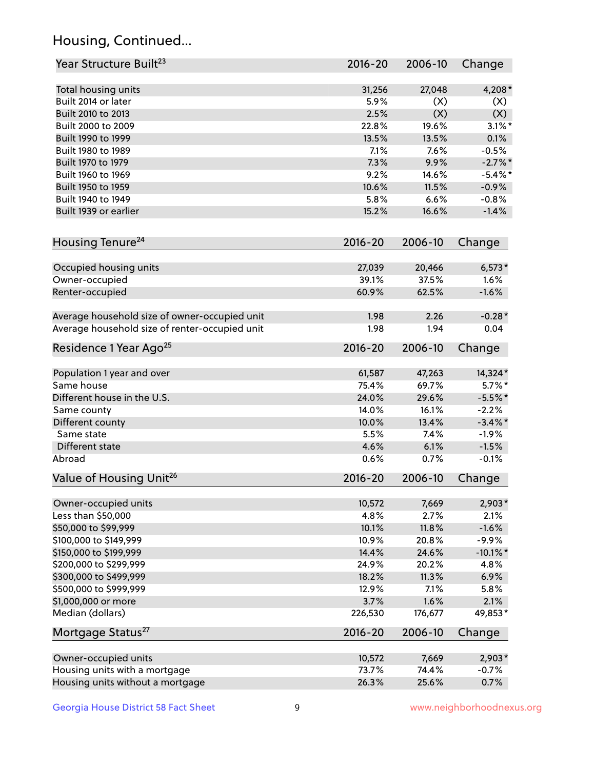## Housing, Continued...

| Year Structure Built <sup>23</sup>             | 2016-20     | 2006-10 | Change      |
|------------------------------------------------|-------------|---------|-------------|
| Total housing units                            | 31,256      | 27,048  | 4,208*      |
| Built 2014 or later                            | 5.9%        | (X)     | (X)         |
| Built 2010 to 2013                             | 2.5%        | (X)     | (X)         |
| Built 2000 to 2009                             | 22.8%       | 19.6%   | $3.1\%$ *   |
| Built 1990 to 1999                             | 13.5%       | 13.5%   | 0.1%        |
| Built 1980 to 1989                             | 7.1%        | 7.6%    | $-0.5%$     |
| Built 1970 to 1979                             | 7.3%        | 9.9%    | $-2.7%$     |
| Built 1960 to 1969                             | 9.2%        | 14.6%   | $-5.4\%$ *  |
| Built 1950 to 1959                             | 10.6%       | 11.5%   | $-0.9%$     |
| Built 1940 to 1949                             | 5.8%        | 6.6%    | $-0.8%$     |
| Built 1939 or earlier                          | 15.2%       | 16.6%   | $-1.4%$     |
| Housing Tenure <sup>24</sup>                   | $2016 - 20$ | 2006-10 | Change      |
|                                                |             |         |             |
| Occupied housing units                         | 27,039      | 20,466  | $6,573*$    |
| Owner-occupied                                 | 39.1%       | 37.5%   | 1.6%        |
| Renter-occupied                                | 60.9%       | 62.5%   | $-1.6%$     |
| Average household size of owner-occupied unit  | 1.98        | 2.26    | $-0.28*$    |
| Average household size of renter-occupied unit | 1.98        | 1.94    | 0.04        |
| Residence 1 Year Ago <sup>25</sup>             | $2016 - 20$ | 2006-10 | Change      |
| Population 1 year and over                     | 61,587      | 47,263  | 14,324*     |
| Same house                                     | 75.4%       | 69.7%   | $5.7\%$ *   |
| Different house in the U.S.                    | 24.0%       | 29.6%   | $-5.5%$ *   |
| Same county                                    | 14.0%       | 16.1%   | $-2.2%$     |
| Different county                               | 10.0%       | 13.4%   | $-3.4\%$ *  |
| Same state                                     | 5.5%        | 7.4%    | $-1.9%$     |
| Different state                                | 4.6%        | 6.1%    | $-1.5%$     |
| Abroad                                         | 0.6%        | 0.7%    | $-0.1%$     |
| Value of Housing Unit <sup>26</sup>            | $2016 - 20$ | 2006-10 | Change      |
|                                                |             |         |             |
| Owner-occupied units                           | 10,572      | 7,669   | 2,903*      |
| Less than \$50,000                             | 4.8%        | 2.7%    | 2.1%        |
| \$50,000 to \$99,999                           | 10.1%       | 11.8%   | $-1.6%$     |
| \$100,000 to \$149,999                         | 10.9%       | 20.8%   | $-9.9%$     |
| \$150,000 to \$199,999                         | 14.4%       | 24.6%   | $-10.1\%$ * |
| \$200,000 to \$299,999                         | 24.9%       | 20.2%   | 4.8%        |
| \$300,000 to \$499,999                         | 18.2%       | 11.3%   | 6.9%        |
| \$500,000 to \$999,999                         | 12.9%       | 7.1%    | 5.8%        |
| \$1,000,000 or more                            | 3.7%        | 1.6%    | 2.1%        |
| Median (dollars)                               | 226,530     | 176,677 | 49,853*     |
| Mortgage Status <sup>27</sup>                  | $2016 - 20$ | 2006-10 | Change      |
| Owner-occupied units                           | 10,572      | 7,669   | $2,903*$    |
| Housing units with a mortgage                  | 73.7%       | 74.4%   | $-0.7%$     |
| Housing units without a mortgage               | 26.3%       | 25.6%   | 0.7%        |
|                                                |             |         |             |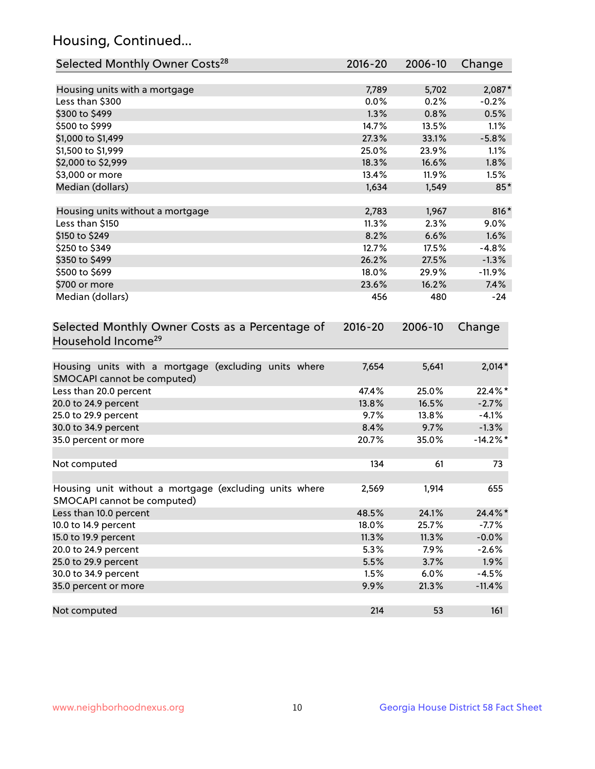## Housing, Continued...

| Selected Monthly Owner Costs <sup>28</sup>                                            | 2016-20     | 2006-10 | Change      |
|---------------------------------------------------------------------------------------|-------------|---------|-------------|
| Housing units with a mortgage                                                         | 7,789       | 5,702   | 2,087*      |
| Less than \$300                                                                       | 0.0%        | 0.2%    | $-0.2%$     |
| \$300 to \$499                                                                        | 1.3%        | 0.8%    | 0.5%        |
| \$500 to \$999                                                                        | 14.7%       | 13.5%   | 1.1%        |
| \$1,000 to \$1,499                                                                    | 27.3%       | 33.1%   | $-5.8%$     |
| \$1,500 to \$1,999                                                                    | 25.0%       | 23.9%   | 1.1%        |
| \$2,000 to \$2,999                                                                    | 18.3%       | 16.6%   | 1.8%        |
| \$3,000 or more                                                                       | 13.4%       | 11.9%   | 1.5%        |
| Median (dollars)                                                                      | 1,634       | 1,549   | $85*$       |
| Housing units without a mortgage                                                      | 2,783       | 1,967   | 816*        |
| Less than \$150                                                                       | 11.3%       | 2.3%    | 9.0%        |
| \$150 to \$249                                                                        | 8.2%        | 6.6%    | 1.6%        |
| \$250 to \$349                                                                        | 12.7%       | 17.5%   | $-4.8%$     |
| \$350 to \$499                                                                        | 26.2%       | 27.5%   | $-1.3%$     |
| \$500 to \$699                                                                        | 18.0%       | 29.9%   | $-11.9%$    |
| \$700 or more                                                                         | 23.6%       | 16.2%   | 7.4%        |
| Median (dollars)                                                                      | 456         | 480     | $-24$       |
| Selected Monthly Owner Costs as a Percentage of<br>Household Income <sup>29</sup>     | $2016 - 20$ | 2006-10 | Change      |
| Housing units with a mortgage (excluding units where<br>SMOCAPI cannot be computed)   | 7,654       | 5,641   | $2,014*$    |
| Less than 20.0 percent                                                                | 47.4%       | 25.0%   | 22.4%*      |
| 20.0 to 24.9 percent                                                                  | 13.8%       | 16.5%   | $-2.7%$     |
| 25.0 to 29.9 percent                                                                  | 9.7%        | 13.8%   | $-4.1%$     |
| 30.0 to 34.9 percent                                                                  | 8.4%        | 9.7%    | $-1.3%$     |
| 35.0 percent or more                                                                  | 20.7%       | 35.0%   | $-14.2\%$ * |
| Not computed                                                                          | 134         | 61      | 73          |
| Housing unit without a mortgage (excluding units where<br>SMOCAPI cannot be computed) | 2,569       | 1,914   | 655         |
| Less than 10.0 percent                                                                | 48.5%       | 24.1%   | 24.4%*      |
| 10.0 to 14.9 percent                                                                  | 18.0%       | 25.7%   | $-7.7%$     |
| 15.0 to 19.9 percent                                                                  | 11.3%       | 11.3%   | $-0.0%$     |
| 20.0 to 24.9 percent                                                                  | 5.3%        | 7.9%    | $-2.6%$     |
| 25.0 to 29.9 percent                                                                  | 5.5%        | 3.7%    | 1.9%        |
| 30.0 to 34.9 percent                                                                  | 1.5%        | 6.0%    | $-4.5%$     |
| 35.0 percent or more                                                                  | 9.9%        | 21.3%   | $-11.4%$    |
| Not computed                                                                          | 214         | 53      | 161         |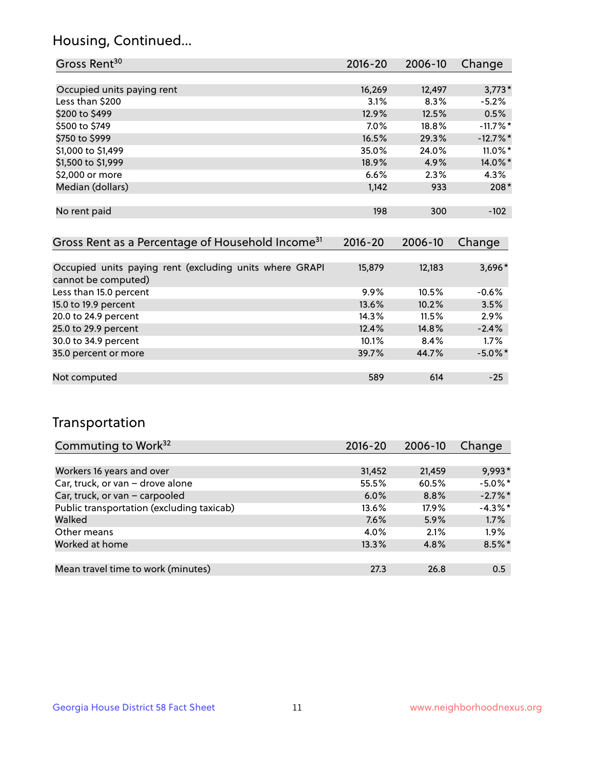## Housing, Continued...

| Gross Rent <sup>30</sup>   | 2016-20 | 2006-10 | Change                 |
|----------------------------|---------|---------|------------------------|
|                            |         |         |                        |
| Occupied units paying rent | 16,269  | 12,497  | $3,773*$               |
| Less than \$200            | 3.1%    | 8.3%    | $-5.2%$                |
| \$200 to \$499             | 12.9%   | 12.5%   | 0.5%                   |
| \$500 to \$749             | 7.0%    | 18.8%   | $-11.7%$ *             |
| \$750 to \$999             | 16.5%   | 29.3%   | $-12.7\%$ <sup>*</sup> |
| \$1,000 to \$1,499         | 35.0%   | 24.0%   | $11.0\%$ *             |
| \$1,500 to \$1,999         | 18.9%   | 4.9%    | 14.0%*                 |
| \$2,000 or more            | 6.6%    | 2.3%    | 4.3%                   |
| Median (dollars)           | 1,142   | 933     | $208*$                 |
|                            |         |         |                        |
| No rent paid               | 198     | 300     | $-102$                 |
|                            |         |         |                        |

| Gross Rent as a Percentage of Household Income <sup>31</sup>                   | $2016 - 20$ | 2006-10 | Change     |
|--------------------------------------------------------------------------------|-------------|---------|------------|
|                                                                                |             |         |            |
| Occupied units paying rent (excluding units where GRAPI<br>cannot be computed) | 15,879      | 12,183  | $3,696*$   |
| Less than 15.0 percent                                                         | 9.9%        | 10.5%   | $-0.6%$    |
| 15.0 to 19.9 percent                                                           | 13.6%       | 10.2%   | 3.5%       |
| 20.0 to 24.9 percent                                                           | 14.3%       | 11.5%   | 2.9%       |
| 25.0 to 29.9 percent                                                           | 12.4%       | 14.8%   | $-2.4%$    |
| 30.0 to 34.9 percent                                                           | 10.1%       | 8.4%    | $1.7\%$    |
| 35.0 percent or more                                                           | 39.7%       | 44.7%   | $-5.0\%$ * |
|                                                                                |             |         |            |
| Not computed                                                                   | 589         | 614     | $-25$      |

## Transportation

| Commuting to Work <sup>32</sup>           | 2016-20 | 2006-10 | Change     |
|-------------------------------------------|---------|---------|------------|
|                                           |         |         |            |
| Workers 16 years and over                 | 31,452  | 21,459  | 9,993*     |
| Car, truck, or van - drove alone          | 55.5%   | 60.5%   | $-5.0\%$ * |
| Car, truck, or van - carpooled            | $6.0\%$ | 8.8%    | $-2.7\%$ * |
| Public transportation (excluding taxicab) | 13.6%   | 17.9%   | $-4.3%$ *  |
| Walked                                    | 7.6%    | 5.9%    | 1.7%       |
| Other means                               | 4.0%    | 2.1%    | $1.9\%$    |
| Worked at home                            | 13.3%   | 4.8%    | $8.5\%$ *  |
|                                           |         |         |            |
| Mean travel time to work (minutes)        | 27.3    | 26.8    | 0.5        |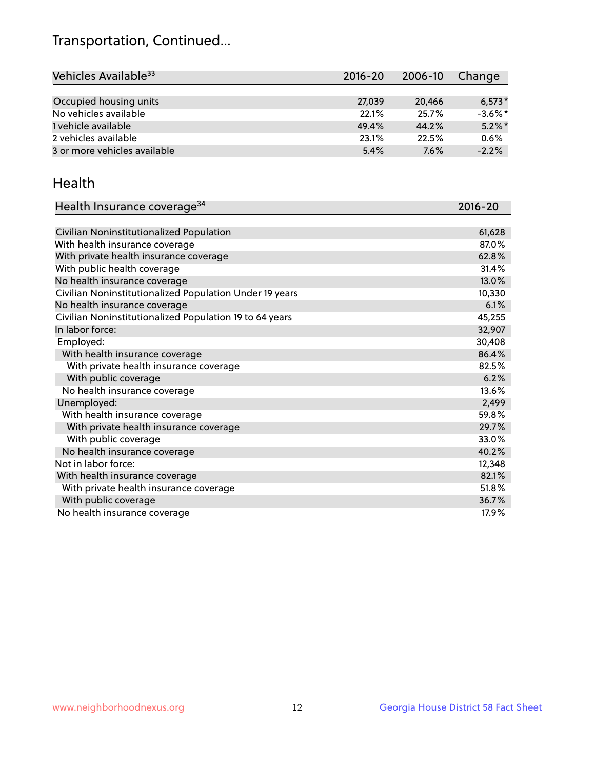## Transportation, Continued...

| Vehicles Available <sup>33</sup> | $2016 - 20$ | 2006-10 | Change     |
|----------------------------------|-------------|---------|------------|
|                                  |             |         |            |
| Occupied housing units           | 27,039      | 20,466  | $6,573*$   |
| No vehicles available            | 22.1%       | 25.7%   | $-3.6\%$ * |
| 1 vehicle available              | 49.4%       | 44.2%   | $5.2\%$ *  |
| 2 vehicles available             | 23.1%       | 22.5%   | 0.6%       |
| 3 or more vehicles available     | 5.4%        | 7.6%    | $-2.2%$    |

#### Health

| Health Insurance coverage <sup>34</sup>                 | 2016-20 |
|---------------------------------------------------------|---------|
|                                                         |         |
| Civilian Noninstitutionalized Population                | 61,628  |
| With health insurance coverage                          | 87.0%   |
| With private health insurance coverage                  | 62.8%   |
| With public health coverage                             | 31.4%   |
| No health insurance coverage                            | 13.0%   |
| Civilian Noninstitutionalized Population Under 19 years | 10,330  |
| No health insurance coverage                            | 6.1%    |
| Civilian Noninstitutionalized Population 19 to 64 years | 45,255  |
| In labor force:                                         | 32,907  |
| Employed:                                               | 30,408  |
| With health insurance coverage                          | 86.4%   |
| With private health insurance coverage                  | 82.5%   |
| With public coverage                                    | 6.2%    |
| No health insurance coverage                            | 13.6%   |
| Unemployed:                                             | 2,499   |
| With health insurance coverage                          | 59.8%   |
| With private health insurance coverage                  | 29.7%   |
| With public coverage                                    | 33.0%   |
| No health insurance coverage                            | 40.2%   |
| Not in labor force:                                     | 12,348  |
| With health insurance coverage                          | 82.1%   |
| With private health insurance coverage                  | 51.8%   |
| With public coverage                                    | 36.7%   |
| No health insurance coverage                            | 17.9%   |